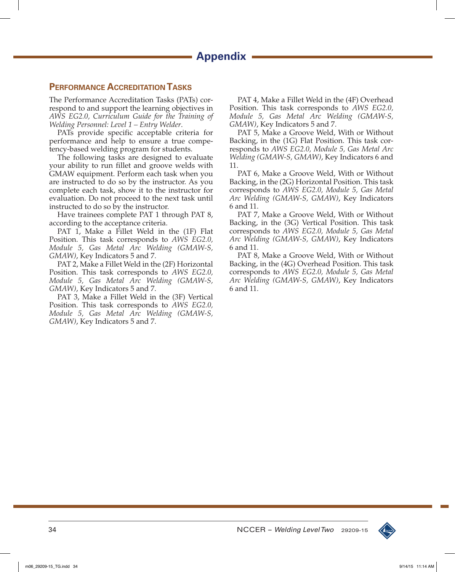# **Performance Accreditation Tasks**

The Performance Accreditation Tasks (PATs) correspond to and support the learning objectives in *AWS EG2.0, Curriculum Guide for the Training of Welding Personnel: Level 1 – Entry Welder*.

PATs provide specific acceptable criteria for performance and help to ensure a true competency-based welding program for students.

The following tasks are designed to evaluate your ability to run fillet and groove welds with GMAW equipment. Perform each task when you are instructed to do so by the instructor. As you complete each task, show it to the instructor for evaluation. Do not proceed to the next task until instructed to do so by the instructor.

Have trainees complete PAT 1 through PAT 8, according to the acceptance criteria.

PAT 1, Make a Fillet Weld in the (1F) Flat Position. This task corresponds to *AWS EG2.0, Module 5, Gas Metal Arc Welding (GMAW-S, GMAW)*, Key Indicators 5 and 7.

PAT 2, Make a Fillet Weld in the (2F) Horizontal Position. This task corresponds to *AWS EG2.0, Module 5, Gas Metal Arc Welding (GMAW-S, GMAW)*, Key Indicators 5 and 7.

PAT 3, Make a Fillet Weld in the (3F) Vertical Position. This task corresponds to *AWS EG2.0, Module 5, Gas Metal Arc Welding (GMAW-S, GMAW)*, Key Indicators 5 and 7.

PAT 4, Make a Fillet Weld in the (4F) Overhead Position. This task corresponds to *AWS EG2.0, Module 5, Gas Metal Arc Welding (GMAW-S, GMAW)*, Key Indicators 5 and 7.

PAT 5, Make a Groove Weld, With or Without Backing, in the (1G) Flat Position. This task corresponds to *AWS EG2.0, Module 5, Gas Metal Arc Welding (GMAW-S, GMAW)*, Key Indicators 6 and 11.

PAT 6, Make a Groove Weld, With or Without Backing, in the (2G) Horizontal Position. This task corresponds to *AWS EG2.0, Module 5, Gas Metal Arc Welding (GMAW-S, GMAW)*, Key Indicators 6 and 11.

PAT 7, Make a Groove Weld, With or Without Backing, in the (3G) Vertical Position. This task corresponds to *AWS EG2.0, Module 5, Gas Metal Arc Welding (GMAW-S, GMAW)*, Key Indicators 6 and 11.

PAT 8, Make a Groove Weld, With or Without Backing, in the (4G) Overhead Position. This task corresponds to *AWS EG2.0, Module 5, Gas Metal Arc Welding (GMAW-S, GMAW)*, Key Indicators 6 and 11.

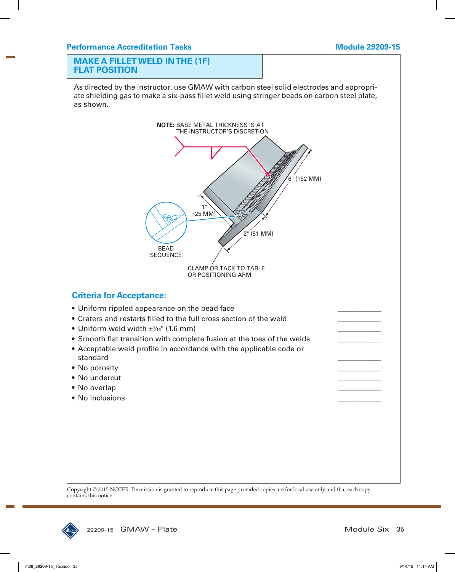#### **MAKE A FILLET WELD IN THE (1F) FLAT POSITION**

As directed by the instructor, use GMAW with carbon steel solid electrodes and appropriate shielding gas to make a six-pass fillet weld using stringer beads on carbon steel plate, as shown.



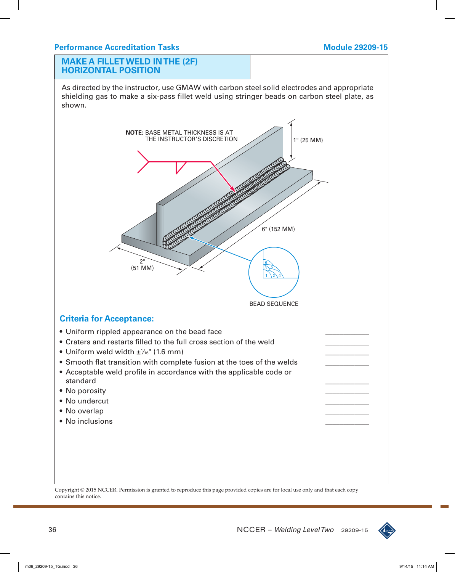#### **MAKE A FILLET WELD IN THE (2F) HORIZONTAL POSITION**

As directed by the instructor, use GMAW with carbon steel solid electrodes and appropriate shielding gas to make a six-pass fillet weld using stringer beads on carbon steel plate, as shown.



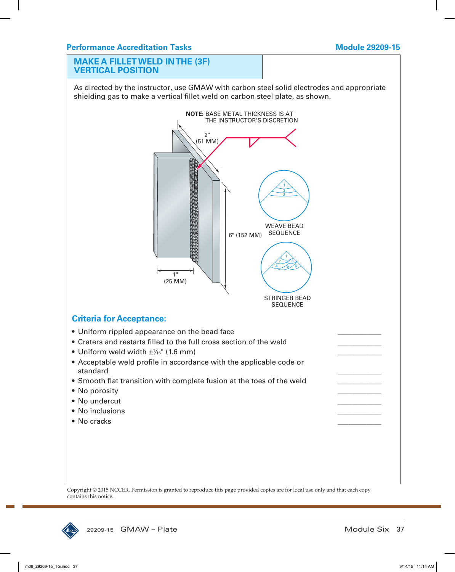# **MAKE A FILLET WELD IN THE (3F) VERTICAL POSITION**

As directed by the instructor, use GMAW with carbon steel solid electrodes and appropriate shielding gas to make a vertical fillet weld on carbon steel plate, as shown.



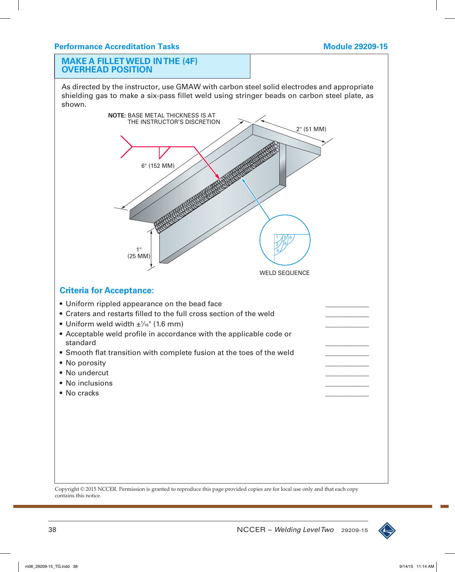### **MAKE A FILLET WELD IN THE (4F) OVERHEAD POSITION**

As directed by the instructor, use GMAW with carbon steel solid electrodes and appropriate shielding gas to make a six-pass fillet weld using stringer beads on carbon steel plate, as shown.



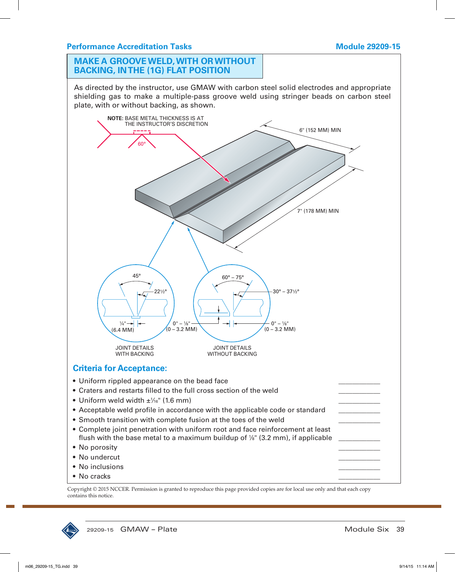# **MAKE A GROOVE WELD, WITH OR WITHOUT BACKING, IN THE (1G) FLAT POSITION**

As directed by the instructor, use GMAW with carbon steel solid electrodes and appropriate shielding gas to make a multiple-pass groove weld using stringer beads on carbon steel plate, with or without backing, as shown.



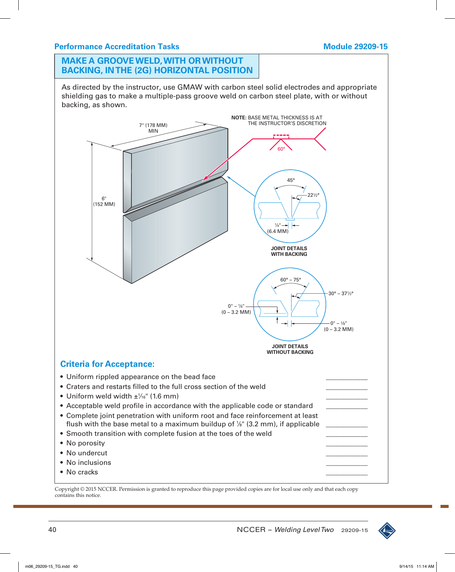# **Performance Accreditation Tasks Module 29209-15**

# **MAKE A GROOVE WELD, WITH OR WITHOUT BACKING, IN THE (2G) HORIZONTAL POSITION**

As directed by the instructor, use GMAW with carbon steel solid electrodes and appropriate shielding gas to make a multiple-pass groove weld on carbon steel plate, with or without backing, as shown.



• No cracks \_\_\_\_\_\_\_\_\_\_\_\_

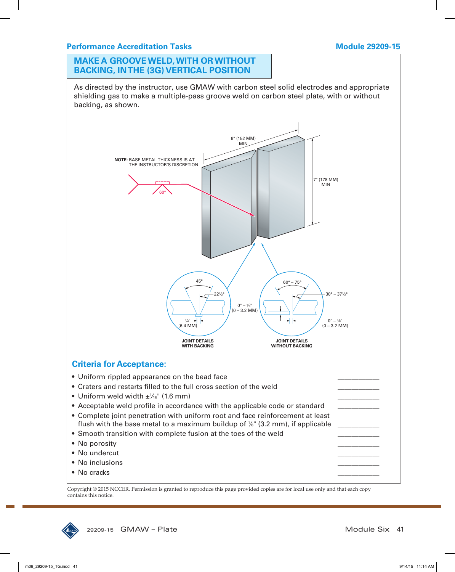## **Performance Accreditation Tasks Module 29209-15**

# **MAKE A GROOVE WELD, WITH OR WITHOUT BACKING, IN THE (3G) VERTICAL POSITION**

As directed by the instructor, use GMAW with carbon steel solid electrodes and appropriate shielding gas to make a multiple-pass groove weld on carbon steel plate, with or without backing, as shown.